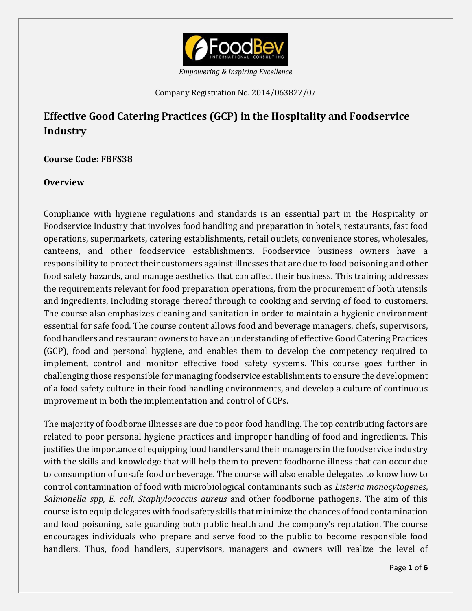

*Empowering & Inspiring Excellence*

Company Registration No. 2014/063827/07

# **Effective Good Catering Practices (GCP) in the Hospitality and Foodservice Industry**

**Course Code: FBFS38**

## **Overview**

Compliance with hygiene regulations and standards is an essential part in the Hospitality or Foodservice Industry that involves food handling and preparation in hotels, restaurants, fast food operations, supermarkets, catering establishments, retail outlets, convenience stores, wholesales, canteens, and other foodservice establishments. Foodservice business owners have a responsibility to protect their customers against illnesses that are due to food poisoning and other food safety hazards, and manage aesthetics that can affect their business. This training addresses the requirements relevant for food preparation operations, from the procurement of both utensils and ingredients, including storage thereof through to cooking and serving of food to customers. The course also emphasizes cleaning and sanitation in order to maintain a hygienic environment essential for safe food. The course content allows food and beverage managers, chefs, supervisors, food handlers and restaurant owners to have an understanding of effective Good Catering Practices (GCP), food and personal hygiene, and enables them to develop the competency required to implement, control and monitor effective food safety systems. This course goes further in challenging those responsible for managing foodservice establishments to ensure the development of a food safety culture in their food handling environments, and develop a culture of continuous improvement in both the implementation and control of GCPs.

The majority of foodborne illnesses are due to poor food handling. The top contributing factors are related to poor personal hygiene practices and improper handling of food and ingredients. This justifies the importance of equipping food handlers and their managers in the foodservice industry with the skills and knowledge that will help them to prevent foodborne illness that can occur due to consumption of unsafe food or beverage. The course will also enable delegates to know how to control contamination of food with microbiological contaminants such as *Listeria monocytogenes*, *Salmonella spp, E. coli, Staphylococcus aureus* and other foodborne pathogens. The aim of this course is to equip delegates with food safety skills that minimize the chances of food contamination and food poisoning, safe guarding both public health and the company's reputation. The course encourages individuals who prepare and serve food to the public to become responsible food handlers. Thus, food handlers, supervisors, managers and owners will realize the level of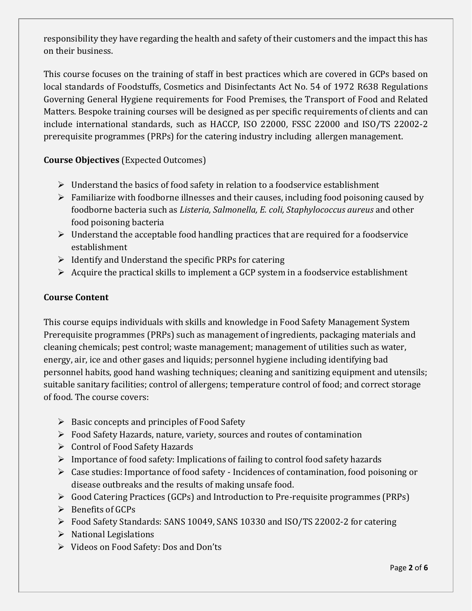responsibility they have regarding the health and safety of their customers and the impact this has on their business.

This course focuses on the training of staff in best practices which are covered in GCPs based on local standards of Foodstuffs, Cosmetics and Disinfectants Act No. 54 of 1972 R638 Regulations Governing General Hygiene requirements for Food Premises, the Transport of Food and Related Matters. Bespoke training courses will be designed as per specific requirements of clients and can include international standards, such as HACCP, ISO 22000, FSSC 22000 and ISO/TS 22002-2 prerequisite programmes (PRPs) for the catering industry including allergen management.

# **Course Objectives** (Expected Outcomes)

- $\triangleright$  Understand the basics of food safety in relation to a foodservice establishment
- $\triangleright$  Familiarize with foodborne illnesses and their causes, including food poisoning caused by foodborne bacteria such as *Listeria, Salmonella, E. coli, Staphylococcus aureus* and other food poisoning bacteria
- $\triangleright$  Understand the acceptable food handling practices that are required for a foodservice establishment
- $\triangleright$  Identify and Understand the specific PRPs for catering
- $\triangleright$  Acquire the practical skills to implement a GCP system in a foodservice establishment

# **Course Content**

This course equips individuals with skills and knowledge in Food Safety Management System Prerequisite programmes (PRPs) such as management of ingredients, packaging materials and cleaning chemicals; pest control; waste management; management of utilities such as water, energy, air, ice and other gases and liquids; personnel hygiene including identifying bad personnel habits, good hand washing techniques; cleaning and sanitizing equipment and utensils; suitable sanitary facilities; control of allergens; temperature control of food; and correct storage of food. The course covers:

- $\triangleright$  Basic concepts and principles of Food Safety
- Food Safety Hazards, nature, variety, sources and routes of contamination
- Control of Food Safety Hazards
- $\triangleright$  Importance of food safety: Implications of failing to control food safety hazards
- Case studies: Importance of food safety Incidences of contamination, food poisoning or disease outbreaks and the results of making unsafe food.
- Good Catering Practices (GCPs) and Introduction to Pre-requisite programmes (PRPs)
- $\triangleright$  Benefits of GCPs
- Food Safety Standards: SANS 10049, SANS 10330 and ISO/TS 22002-2 for catering
- $\triangleright$  National Legislations
- Videos on Food Safety: Dos and Don'ts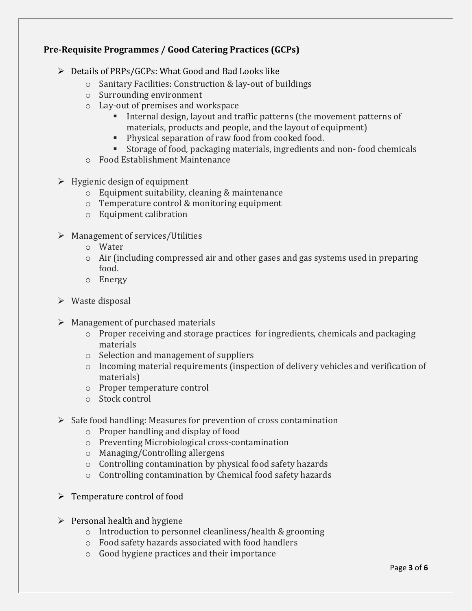# **Pre-Requisite Programmes / Good Catering Practices (GCPs)**

- $\triangleright$  Details of PRPs/GCPs: What Good and Bad Looks like
	- o Sanitary Facilities: Construction & lay-out of buildings
	- o Surrounding environment
	- o Lay-out of premises and workspace
		- Internal design, layout and traffic patterns (the movement patterns of materials, products and people, and the layout of equipment)
		- **Physical separation of raw food from cooked food.**
		- Storage of food, packaging materials, ingredients and non- food chemicals
	- o Food Establishment Maintenance
- $\triangleright$  Hygienic design of equipment
	- o Equipment suitability, cleaning & maintenance
	- o Temperature control & monitoring equipment
	- o Equipment calibration
- $\triangleright$  Management of services/Utilities
	- o Water
	- o Air (including compressed air and other gases and gas systems used in preparing food.
	- o Energy
- $\triangleright$  Waste disposal
- $\triangleright$  Management of purchased materials
	- o Proper receiving and storage practices for ingredients, chemicals and packaging materials
	- o Selection and management of suppliers
	- o Incoming material requirements (inspection of delivery vehicles and verification of materials)
	- o Proper temperature control
	- o Stock control
- $\triangleright$  Safe food handling: Measures for prevention of cross contamination
	- o Proper handling and display of food
	- o Preventing Microbiological cross-contamination
	- o Managing/Controlling allergens
	- o Controlling contamination by physical food safety hazards
	- o Controlling contamination by Chemical food safety hazards
- $\triangleright$  Temperature control of food
- $\triangleright$  Personal health and hygiene
	- o Introduction to personnel cleanliness/health & grooming
	- o Food safety hazards associated with food handlers
	- o Good hygiene practices and their importance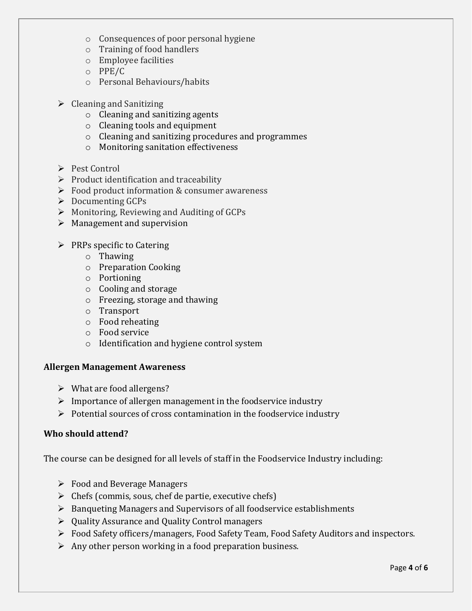- o Consequences of poor personal hygiene
- o Training of food handlers
- o Employee facilities
- o PPE/C
- o Personal Behaviours/habits
- $\triangleright$  Cleaning and Sanitizing
	- o Cleaning and sanitizing agents
	- o Cleaning tools and equipment
	- o Cleaning and sanitizing procedures and programmes
	- o Monitoring sanitation effectiveness
- Pest Control
- $\triangleright$  Product identification and traceability
- $\triangleright$  Food product information & consumer awareness
- $\triangleright$  Documenting GCPs
- $\triangleright$  Monitoring, Reviewing and Auditing of GCPs
- $\triangleright$  Management and supervision
- $\triangleright$  PRPs specific to Catering
	- o Thawing
	- o Preparation Cooking
	- o Portioning
	- o Cooling and storage
	- o Freezing, storage and thawing
	- o Transport
	- o Food reheating
	- o Food service
	- o Identification and hygiene control system

#### **Allergen Management Awareness**

- $\triangleright$  What are food allergens?
- $\triangleright$  Importance of allergen management in the foodservice industry
- $\triangleright$  Potential sources of cross contamination in the foodservice industry

## **Who should attend?**

The course can be designed for all levels of staff in the Foodservice Industry including:

- $\triangleright$  Food and Beverage Managers
- $\triangleright$  Chefs (commis, sous, chef de partie, executive chefs)
- Banqueting Managers and Supervisors of all foodservice establishments
- Quality Assurance and Quality Control managers
- Food Safety officers/managers, Food Safety Team, Food Safety Auditors and inspectors.
- $\triangleright$  Any other person working in a food preparation business.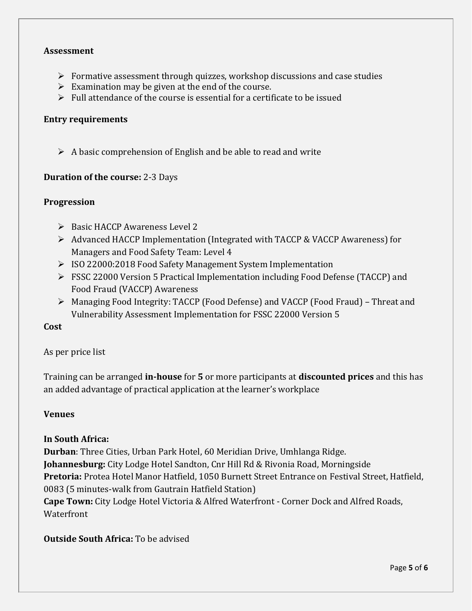### **Assessment**

- $\triangleright$  Formative assessment through quizzes, workshop discussions and case studies
- $\triangleright$  Examination may be given at the end of the course.
- $\triangleright$  Full attendance of the course is essential for a certificate to be issued

#### **Entry requirements**

 $\triangleright$  A basic comprehension of English and be able to read and write

#### **Duration of the course:** 2-3 Days

#### **Progression**

- $\triangleright$  Basic HACCP Awareness Level 2
- Advanced HACCP Implementation (Integrated with TACCP & VACCP Awareness) for Managers and Food Safety Team: Level 4
- ISO 22000:2018 Food Safety Management System Implementation
- FSSC 22000 Version 5 Practical Implementation including Food Defense (TACCP) and Food Fraud (VACCP) Awareness
- Managing Food Integrity: TACCP (Food Defense) and VACCP (Food Fraud) Threat and Vulnerability Assessment Implementation for FSSC 22000 Version 5

## **Cost**

#### As per price list

Training can be arranged **in-house** for **5** or more participants at **discounted prices** and this has an added advantage of practical application at the learner's workplace

#### **Venues**

#### **In South Africa:**

**Durban**: Three Cities, Urban Park Hotel, 60 Meridian Drive, Umhlanga Ridge. **Johannesburg:** City Lodge Hotel Sandton, Cnr Hill Rd & Rivonia Road, Morningside **Pretoria:** Protea Hotel Manor Hatfield, 1050 Burnett Street Entrance on Festival Street, Hatfield, 0083 (5 minutes-walk from Gautrain Hatfield Station) **Cape Town:** City Lodge Hotel Victoria & Alfred Waterfront - Corner Dock and Alfred Roads, **Waterfront** 

**Outside South Africa:** To be advised